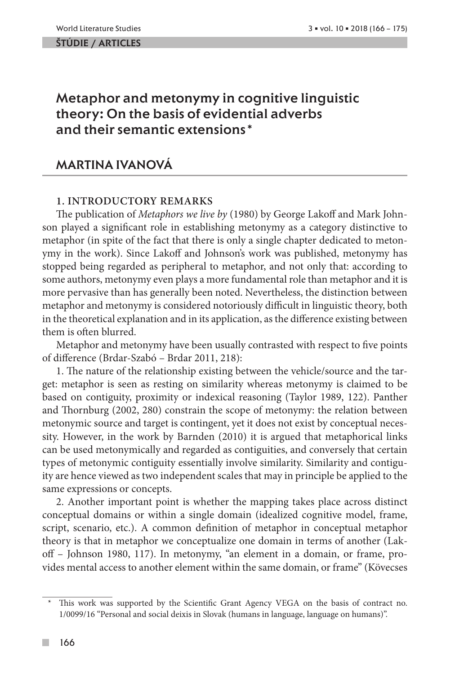#### ŠTÚDIE / ARTicles

# Metaphor and metonymy in cognitive linguistic theory: On the basis of evidential adverbs and their semantic extensions\*

## Martina Ivanová

### **1. Introductory remarks**

The publication of *Metaphors we live by* (1980) by George Lakoff and Mark Johnson played a significant role in establishing metonymy as a category distinctive to metaphor (in spite of the fact that there is only a single chapter dedicated to metonymy in the work). Since Lakoff and Johnson's work was published, metonymy has stopped being regarded as peripheral to metaphor, and not only that: according to some authors, metonymy even plays a more fundamental role than metaphor and it is more pervasive than has generally been noted. Nevertheless, the distinction between metaphor and metonymy is considered notoriously difficult in linguistic theory, both in the theoretical explanation and in its application, as the difference existing between them is often blurred.

Metaphor and metonymy have been usually contrasted with respect to five points of difference (Brdar-Szabó – Brdar 2011, 218):

1. The nature of the relationship existing between the vehicle/source and the target: metaphor is seen as resting on similarity whereas metonymy is claimed to be based on contiguity, proximity or indexical reasoning (Taylor 1989, 122). Panther and Thornburg (2002, 280) constrain the scope of metonymy: the relation between metonymic source and target is contingent, yet it does not exist by conceptual necessity. However, in the work by Barnden (2010) it is argued that metaphorical links can be used metonymically and regarded as contiguities, and conversely that certain types of metonymic contiguity essentially involve similarity. Similarity and contiguity are hence viewed as two independent scales that may in principle be applied to the same expressions or concepts.

2. Another important point is whether the mapping takes place across distinct conceptual domains or within a single domain (idealized cognitive model, frame, script, scenario, etc.). A common definition of metaphor in conceptual metaphor theory is that in metaphor we conceptualize one domain in terms of another (Lakoff – Johnson 1980, 117). In metonymy, "an element in a domain, or frame, provides mental access to another element within the same domain, or frame" (Kövecses

 $\mathcal{C}^{\mathcal{A}}$ 

<sup>\*</sup> This work was supported by the Scientific Grant Agency VEGA on the basis of contract no. 1/0099/16 "Personal and social deixis in Slovak (humans in language, language on humans)".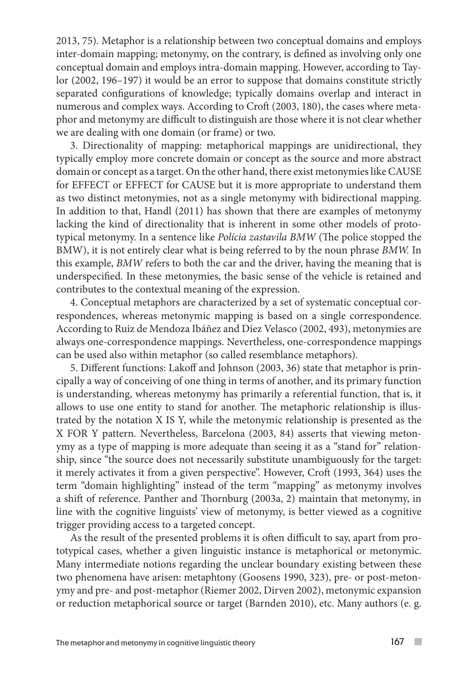2013, 75). Metaphor is a relationship between two conceptual domains and employs inter-domain mapping; metonymy, on the contrary, is defined as involving only one conceptual domain and employs intra-domain mapping. However, according to Taylor (2002, 196–197) it would be an error to suppose that domains constitute strictly separated configurations of knowledge; typically domains overlap and interact in numerous and complex ways. According to Croft (2003, 180), the cases where metaphor and metonymy are difficult to distinguish are those where it is not clear whether we are dealing with one domain (or frame) or two.

3. Directionality of mapping: metaphorical mappings are unidirectional, they typically employ more concrete domain or concept as the source and more abstract domain or concept as a target. On the other hand, there exist metonymies like CAUSE for EFFECT or EFFECT for CAUSE but it is more appropriate to understand them as two distinct metonymies, not as a single metonymy with bidirectional mapping. In addition to that, Handl (2011) has shown that there are examples of metonymy lacking the kind of directionality that is inherent in some other models of prototypical metonymy. In a sentence like *Polícia zastavila BMW* (The police stopped the BMW), it is not entirely clear what is being referred to by the noun phrase *BMW.* In this example, *BMW* refers to both the car and the driver, having the meaning that is underspecified. In these metonymies, the basic sense of the vehicle is retained and contributes to the contextual meaning of the expression.

4. Conceptual metaphors are characterized by a set of systematic conceptual correspondences, whereas metonymic mapping is based on a single correspondence. According to Ruiz de Mendoza Ibáñez and Díez Velasco (2002, 493), metonymies are always one-correspondence mappings. Nevertheless, one-correspondence mappings can be used also within metaphor (so called resemblance metaphors).

5. Different functions: Lakoff and Johnson (2003, 36) state that metaphor is principally a way of conceiving of one thing in terms of another, and its primary function is understanding, whereas metonymy has primarily a referential function, that is, it allows to use one entity to stand for another. The metaphoric relationship is illustrated by the notation X IS Y, while the metonymic relationship is presented as the X FOR Y pattern. Nevertheless, Barcelona (2003, 84) asserts that viewing metonymy as a type of mapping is more adequate than seeing it as a "stand for" relationship, since "the source does not necessarily substitute unambiguously for the target: it merely activates it from a given perspective". However, Croft (1993, 364) uses the term "domain highlighting" instead of the term "mapping" as metonymy involves a shift of reference. Panther and Thornburg (2003a, 2) maintain that metonymy, in line with the cognitive linguists' view of metonymy, is better viewed as a cognitive trigger providing access to a targeted concept.

As the result of the presented problems it is often difficult to say, apart from prototypical cases, whether a given linguistic instance is metaphorical or metonymic. Many intermediate notions regarding the unclear boundary existing between these two phenomena have arisen: metaphtony (Goosens 1990, 323), pre- or post-metonymy and pre- and post-metaphor (Riemer 2002, Dirven 2002), metonymic expansion or reduction metaphorical source or target (Barnden 2010), etc. Many authors (e. g.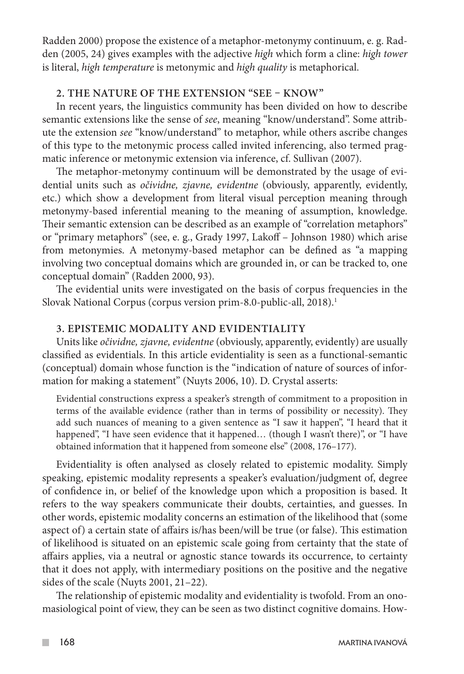Radden 2000) propose the existence of a metaphor-metonymy continuum, e. g. Radden (2005, 24) gives examples with the adjective *high* which form a cline: *high tower*  is literal, *high temperature* is metonymic and *high quality* is metaphorical.

### **2. The nature of the extension "see – know"**

In recent years, the linguistics community has been divided on how to describe semantic extensions like the sense of *see*, meaning "know/understand". Some attribute the extension *see* "know/understand" to metaphor, while others ascribe changes of this type to the metonymic process called invited inferencing, also termed pragmatic inference or metonymic extension via inference, cf. Sullivan (2007).

The metaphor-metonymy continuum will be demonstrated by the usage of evidential units such as *očividne, zjavne, evidentne* (obviously, apparently, evidently, etc.) which show a development from literal visual perception meaning through metonymy-based inferential meaning to the meaning of assumption, knowledge. Their semantic extension can be described as an example of "correlation metaphors" or "primary metaphors" (see, e. g., Grady 1997, Lakoff – Johnson 1980) which arise from metonymies. A metonymy-based metaphor can be defined as "a mapping involving two conceptual domains which are grounded in, or can be tracked to, one conceptual domain" (Radden 2000, 93).

The evidential units were investigated on the basis of corpus frequencies in the Slovak National Corpus (corpus version prim-8.0-public-all, 2018).<sup>1</sup>

### **3. Epistemic modality and evidentiality**

Units like *očividne, zjavne, evidentne* (obviously, apparently, evidently) are usually classified as evidentials. In this article evidentiality is seen as a functional-semantic (conceptual) domain whose function is the "indication of nature of sources of information for making a statement" (Nuyts 2006, 10). D. Crystal asserts:

Evidential constructions express a speaker's strength of commitment to a proposition in terms of the available evidence (rather than in terms of possibility or necessity). They add such nuances of meaning to a given sentence as "I saw it happen", "I heard that it happened", "I have seen evidence that it happened... (though I wasn't there)", or "I have obtained information that it happened from someone else" (2008, 176–177).

Evidentiality is often analysed as closely related to epistemic modality. Simply speaking, epistemic modality represents a speaker's evaluation/judgment of, degree of confidence in, or belief of the knowledge upon which a proposition is based. It refers to the way speakers communicate their doubts, certainties, and guesses. In other words, epistemic modality concerns an estimation of the likelihood that (some aspect of) a certain state of affairs is/has been/will be true (or false). This estimation of likelihood is situated on an epistemic scale going from certainty that the state of affairs applies, via a neutral or agnostic stance towards its occurrence, to certainty that it does not apply, with intermediary positions on the positive and the negative sides of the scale (Nuyts 2001, 21–22).

The relationship of epistemic modality and evidentiality is twofold. From an onomasiological point of view, they can be seen as two distinct cognitive domains. How-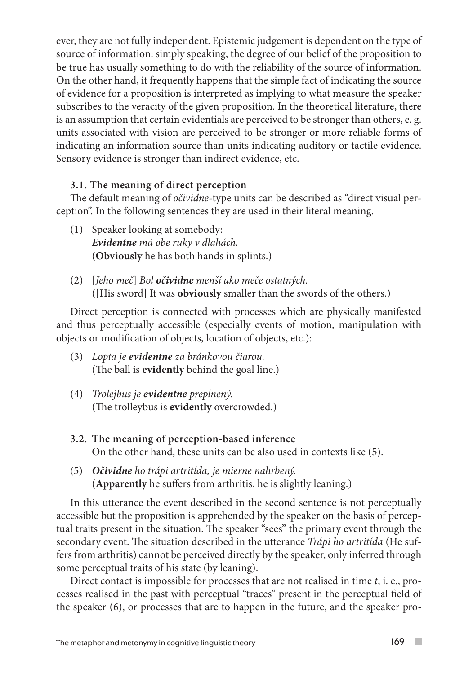ever, they are not fully independent. Epistemic judgement is dependent on the type of source of information: simply speaking, the degree of our belief of the proposition to be true has usually something to do with the reliability of the source of information. On the other hand, it frequently happens that the simple fact of indicating the source of evidence for a proposition is interpreted as implying to what measure the speaker subscribes to the veracity of the given proposition. In the theoretical literature, there is an assumption that certain evidentials are perceived to be stronger than others, e. g. units associated with vision are perceived to be stronger or more reliable forms of indicating an information source than units indicating auditory or tactile evidence. Sensory evidence is stronger than indirect evidence, etc.

### **3.1. The meaning of direct perception**

The default meaning of *očividne*-type units can be described as "direct visual perception". In the following sentences they are used in their literal meaning.

- (1) Speaker looking at somebody: *Evidentne má obe ruky v dlahách.*  (**Obviously** he has both hands in splints.)
- (2) [*Jeho meč*] *Bol očividne menší ako meče ostatných.* ([His sword] It was **obviously** smaller than the swords of the others.)

Direct perception is connected with processes which are physically manifested and thus perceptually accessible (especially events of motion, manipulation with objects or modification of objects, location of objects, etc.):

- (3) *Lopta je evidentne za bránkovou čiarou.* (The ball is **evidently** behind the goal line.)
- (4) *Trolejbus je evidentne preplnený.* (The trolleybus is **evidently** overcrowded.)
- **3.2. The meaning of perception-based inference** On the other hand, these units can be also used in contexts like (5).
- (5) *Očividne ho trápi artritída, je mierne nahrbený.* (**Apparently** he suffers from arthritis, he is slightly leaning.)

In this utterance the event described in the second sentence is not perceptually accessible but the proposition is apprehended by the speaker on the basis of perceptual traits present in the situation. The speaker "sees" the primary event through the secondary event. The situation described in the utterance *Trápi ho artritída* (He suffers from arthritis) cannot be perceived directly by the speaker, only inferred through some perceptual traits of his state (by leaning).

Direct contact is impossible for processes that are not realised in time *t*, i. e., processes realised in the past with perceptual "traces" present in the perceptual field of the speaker (6), or processes that are to happen in the future, and the speaker pro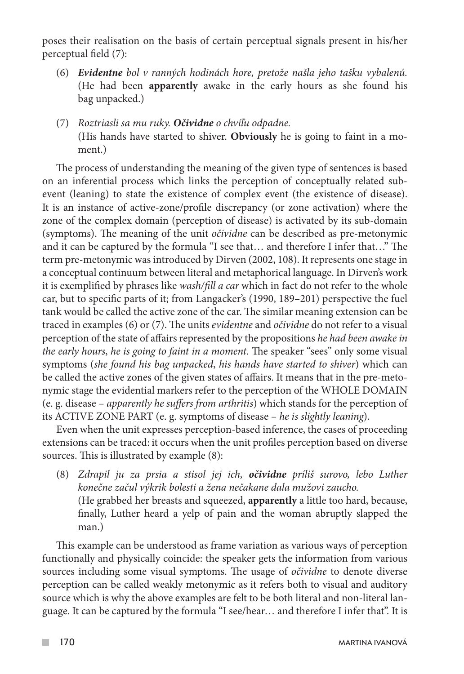poses their realisation on the basis of certain perceptual signals present in his/her perceptual field (7):

- (6) *Evidentne bol v ranných hodinách hore, pretože našla jeho tašku vybalenú.* (He had been **apparently** awake in the early hours as she found his bag unpacked.)
- (7) *Roztriasli sa mu ruky. Očividne o chvíľu odpadne.*  (His hands have started to shiver. **Obviously** he is going to faint in a moment.)

The process of understanding the meaning of the given type of sentences is based on an inferential process which links the perception of conceptually related subevent (leaning) to state the existence of complex event (the existence of disease). It is an instance of active-zone/profile discrepancy (or zone activation) where the zone of the complex domain (perception of disease) is activated by its sub-domain (symptoms). The meaning of the unit *očividne* can be described as pre-metonymic and it can be captured by the formula "I see that… and therefore I infer that…" The term pre-metonymic was introduced by Dirven (2002, 108). It represents one stage in a conceptual continuum between literal and metaphorical language. In Dirven's work it is exemplified by phrases like *wash/fill a car* which in fact do not refer to the whole car, but to specific parts of it; from Langacker's (1990, 189–201) perspective the fuel tank would be called the active zone of the car. The similar meaning extension can be traced in examples (6) or (7). The units *evidentne* and *očividne* do not refer to a visual perception of the state of affairs represented by the propositions *he had been awake in the early hours*, *he is going to faint in a moment*. The speaker "sees" only some visual symptoms (*she found his bag unpacked*, *his hands have started to shiver*) which can be called the active zones of the given states of affairs. It means that in the pre-metonymic stage the evidential markers refer to the perception of the WHOLE DOMAIN (e. g. disease – *apparently he suffers from arthritis*) which stands for the perception of its ACTIVE ZONE PART (e. g. symptoms of disease – *he is slightly leaning*).

Even when the unit expresses perception-based inference, the cases of proceeding extensions can be traced: it occurs when the unit profiles perception based on diverse sources. This is illustrated by example (8):

(8) *Zdrapil ju za prsia a stisol jej ich, očividne príliš surovo, lebo Luther konečne začul výkrik bolesti a žena nečakane dala mužovi zaucho.*  (He grabbed her breasts and squeezed, **apparently** a little too hard, because, finally, Luther heard a yelp of pain and the woman abruptly slapped the man.)

This example can be understood as frame variation as various ways of perception functionally and physically coincide: the speaker gets the information from various sources including some visual symptoms. The usage of *očividne* to denote diverse perception can be called weakly metonymic as it refers both to visual and auditory source which is why the above examples are felt to be both literal and non-literal language. It can be captured by the formula "I see/hear… and therefore I infer that". It is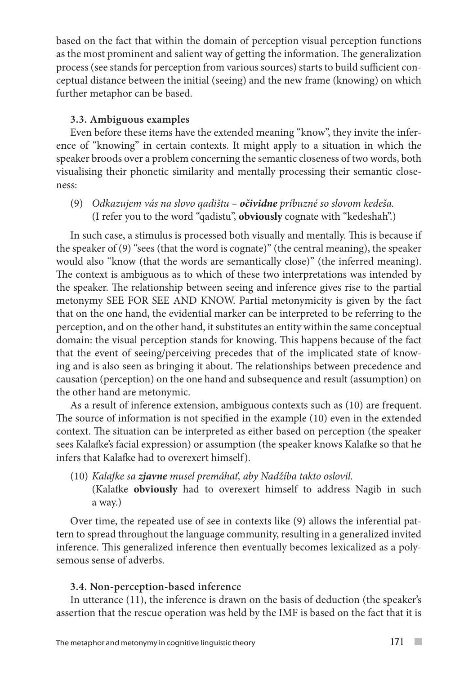based on the fact that within the domain of perception visual perception functions as the most prominent and salient way of getting the information. The generalization process (see stands for perception from various sources) starts to build sufficient conceptual distance between the initial (seeing) and the new frame (knowing) on which further metaphor can be based.

### **3.3. Ambiguous examples**

Even before these items have the extended meaning "know", they invite the inference of "knowing" in certain contexts. It might apply to a situation in which the speaker broods over a problem concerning the semantic closeness of two words, both visualising their phonetic similarity and mentally processing their semantic closeness:

(9) *Odkazujem vás na slovo qadištu – očividne príbuzné so slovom kedeša.*  (I refer you to the word "qadistu", **obviously** cognate with "kedeshah".)

In such case, a stimulus is processed both visually and mentally. This is because if the speaker of (9) "sees (that the word is cognate)" (the central meaning), the speaker would also "know (that the words are semantically close)" (the inferred meaning). The context is ambiguous as to which of these two interpretations was intended by the speaker. The relationship between seeing and inference gives rise to the partial metonymy SEE FOR SEE AND KNOW. Partial metonymicity is given by the fact that on the one hand, the evidential marker can be interpreted to be referring to the perception, and on the other hand, it substitutes an entity within the same conceptual domain: the visual perception stands for knowing. This happens because of the fact that the event of seeing/perceiving precedes that of the implicated state of knowing and is also seen as bringing it about. The relationships between precedence and causation (perception) on the one hand and subsequence and result (assumption) on the other hand are metonymic.

As a result of inference extension, ambiguous contexts such as (10) are frequent. The source of information is not specified in the example (10) even in the extended context. The situation can be interpreted as either based on perception (the speaker sees Kalafke's facial expression) or assumption (the speaker knows Kalafke so that he infers that Kalafke had to overexert himself).

(10) *Kalafke sa zjavne musel premáhať, aby Nadžíba takto oslovil.*  (Kalafke **obviously** had to overexert himself to address Nagib in such a way.)

Over time, the repeated use of see in contexts like (9) allows the inferential pattern to spread throughout the language community, resulting in a generalized invited inference. This generalized inference then eventually becomes lexicalized as a polysemous sense of adverbs.

### **3.4. Non-perception-based inference**

In utterance (11), the inference is drawn on the basis of deduction (the speaker's assertion that the rescue operation was held by the IMF is based on the fact that it is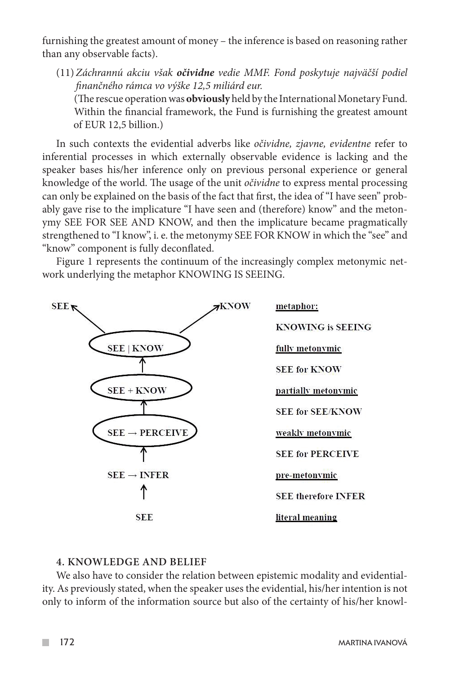furnishing the greatest amount of money – the inference is based on reasoning rather than any observable facts).

(11) *Záchrannú akciu však očividne vedie MMF. Fond poskytuje najväčší podiel finančného rámca vo výške 12,5 miliárd eur.*

 (The rescue operation was **obviously** held by the International Monetary Fund. Within the financial framework, the Fund is furnishing the greatest amount of EUR 12,5 billion.)

In such contexts the evidential adverbs like *očividne, zjavne, evidentne* refer to inferential processes in which externally observable evidence is lacking and the speaker bases his/her inference only on previous personal experience or general knowledge of the world. The usage of the unit *očividne* to express mental processing can only be explained on the basis of the fact that first, the idea of "I have seen" probably gave rise to the implicature "I have seen and (therefore) know" and the metonymy SEE FOR SEE AND KNOW, and then the implicature became pragmatically strengthened to "I know", i. e. the metonymy SEE FOR KNOW in which the "see" and "know" component is fully deconflated.

Figure 1 represents the continuum of the increasingly complex metonymic network underlying the metaphor KNOWING IS SEEING.



#### **4. Knowledge and belief**

We also have to consider the relation between epistemic modality and evidentiality. As previously stated, when the speaker uses the evidential, his/her intention is not only to inform of the information source but also of the certainty of his/her knowl-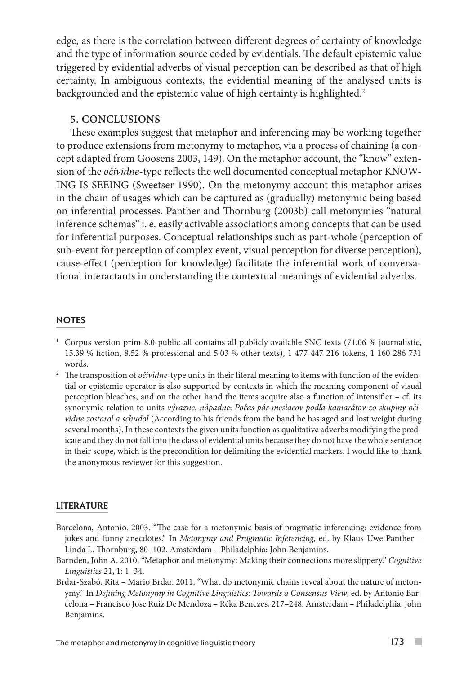edge, as there is the correlation between different degrees of certainty of knowledge and the type of information source coded by evidentials. The default epistemic value triggered by evidential adverbs of visual perception can be described as that of high certainty. In ambiguous contexts, the evidential meaning of the analysed units is backgrounded and the epistemic value of high certainty is highlighted.<sup>2</sup>

#### **5. Conclusions**

These examples suggest that metaphor and inferencing may be working together to produce extensions from metonymy to metaphor, via a process of chaining (a concept adapted from Goosens 2003, 149). On the metaphor account, the "know" extension of the *očividne*-type reflects the well documented conceptual metaphor KNOW-ING IS SEEING (Sweetser 1990). On the metonymy account this metaphor arises in the chain of usages which can be captured as (gradually) metonymic being based on inferential processes. Panther and Thornburg (2003b) call metonymies "natural inference schemas" i. e. easily activable associations among concepts that can be used for inferential purposes. Conceptual relationships such as part-whole (perception of sub-event for perception of complex event, visual perception for diverse perception), cause-effect (perception for knowledge) facilitate the inferential work of conversational interactants in understanding the contextual meanings of evidential adverbs.

#### **NOTES**

- $1$  Corpus version prim-8.0-public-all contains all publicly available SNC texts (71.06 % journalistic, 15.39 % fiction, 8.52 % professional and 5.03 % other texts), 1 477 447 216 tokens, 1 160 286 731 words.
- <sup>2</sup> The transposition of *očividne*-type units in their literal meaning to items with function of the evidential or epistemic operator is also supported by contexts in which the meaning component of visual perception bleaches, and on the other hand the items acquire also a function of intensifier – cf. its synonymic relation to units *výrazne*, *nápadne*: *Počas pár mesiacov podľa kamarátov zo skupiny očividne zostarol a schudol* (According to his friends from the band he has aged and lost weight during several months). In these contexts the given units function as qualitative adverbs modifying the predicate and they do not fall into the class of evidential units because they do not have the whole sentence in their scope, which is the precondition for delimiting the evidential markers. I would like to thank the anonymous reviewer for this suggestion.

#### LITERATURE

- Barcelona, Antonio. 2003. "The case for a metonymic basis of pragmatic inferencing: evidence from jokes and funny anecdotes." In *Metonymy and Pragmatic Inferencing*, ed. by Klaus-Uwe Panther – Linda L. Thornburg, 80–102. Amsterdam – Philadelphia: John Benjamins.
- Barnden, John A. 2010. "Metaphor and metonymy: Making their connections more slippery." *Cognitive Linguistics* 21, 1: 1–34.
- Brdar-Szabó, Rita Mario Brdar. 2011. "What do metonymic chains reveal about the nature of metonymy." In *Defining Metonymy in Cognitive Linguistics: Towards a Consensus View*, ed. by Antonio Barcelona – Francisco Jose Ruiz De Mendoza – Réka Benczes, 217–248. Amsterdam – Philadelphia: John Benjamins.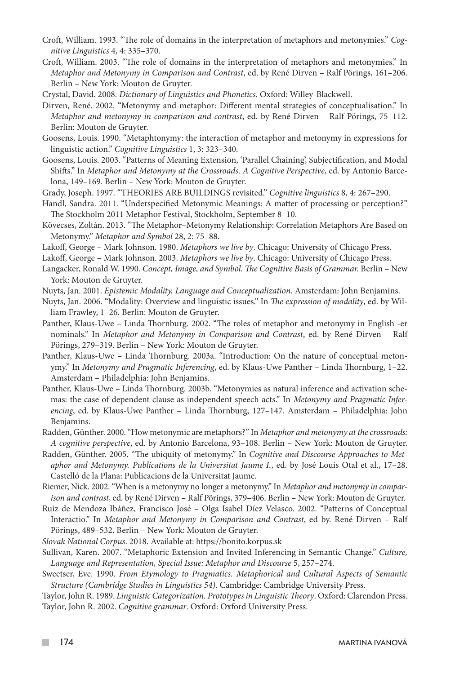- Croft, William. 1993. "The role of domains in the interpretation of metaphors and metonymies." *Cognitive Linguistics* 4, 4: 335–370.
- Croft, William. 2003. "The role of domains in the interpretation of metaphors and metonymies." In *Metaphor and Metonymy in Comparison and Contrast*, ed. by René Dirven – Ralf Pörings, 161–206. Berlin – New York: Mouton de Gruyter.
- Crystal, David. 2008. *Dictionary of Linguistics and Phonetics.* Oxford: Willey-Blackwell.
- Dirven, René. 2002. "Metonymy and metaphor: Different mental strategies of conceptualisation." In *Metaphor and metonymy in comparison and contrast*, ed. by René Dirven – Ralf Pörings, 75–112. Berlin: Mouton de Gruyter.
- Goosens, Louis. 1990. "Metaphtonymy: the interaction of metaphor and metonymy in expressions for linguistic action." *Cognitive Linguistics* 1, 3: 323–340.
- Goosens, Louis. 2003. "Patterns of Meaning Extension, 'Parallel Chaining', Subjectification, and Modal Shifts." In *Metaphor and Metonymy at the Crossroads. A Cognitive Perspective*, ed. by Antonio Barcelona, 149–169. Berlin – New York: Mouton de Gruyter.
- Grady, Joseph. 1997. "THEORIES ARE BUILDINGS revisited." *Cognitive linguistics* 8, 4: 267–290.
- Handl, Sandra. 2011. "Underspecified Metonymic Meanings: A matter of processing or perception?" The Stockholm 2011 Metaphor Festival, Stockholm, September 8–10.
- Kövecses, Zoltán. 2013. "The Metaphor–Metonymy Relationship: Correlation Metaphors Are Based on Metonymy." *Metaphor and Symbol* 28, 2: 75–88.
- Lakoff, George Mark Johnson. 1980. *Metaphors we live by*. Chicago: University of Chicago Press.

Lakoff, George – Mark Johnson. 2003. *Metaphors we live by*. Chicago: University of Chicago Press.

- Langacker, Ronald W. 1990. *Concept, Image, and Symbol. The Cognitive Basis of Grammar.* Berlin New York: Mouton de Gruyter.
- Nuyts, Jan. 2001. *Epistemic Modality, Language and Conceptualization.* Amsterdam: John Benjamins.
- Nuyts, Jan. 2006. "Modality: Overview and linguistic issues." In *The expression of modality*, ed. by William Frawley, 1–26. Berlin: Mouton de Gruyter.
- Panther, Klaus-Uwe Linda Thornburg. 2002. "The roles of metaphor and metonymy in English -er nominals." In *Metaphor and Metonymy in Comparison and Contrast*, ed. by René Dirven – Ralf Pörings, 279–319. Berlin – New York: Mouton de Gruyter.
- Panther, Klaus-Uwe Linda Thornburg. 2003a. "Introduction: On the nature of conceptual metonymy." In *Metonymy and Pragmatic Inferencing*, ed. by Klaus-Uwe Panther – Linda Thornburg, 1–22. Amsterdam – Philadelphia: John Benjamins.
- Panther, Klaus-Uwe Linda Thornburg. 2003b. "Metonymies as natural inference and activation schemas: the case of dependent clause as independent speech acts." In *Metonymy and Pragmatic Inferencing*, ed. by Klaus-Uwe Panther – Linda Thornburg, 127–147. Amsterdam – Philadelphia: John Benjamins.
- Radden, Günther. 2000. "How metonymic are metaphors?" In *Metaphor and metonymy at the crossroads: A cognitive perspective*, ed. by Antonio Barcelona, 93–108. Berlin – New York: Mouton de Gruyter.
- Radden, Günther. 2005. "The ubiquity of metonymy." In *Cognitive and Discourse Approaches to Metaphor and Metonymy. Publications de la Universitat Jaume I.*, ed. by José Louis Otal et al., 17–28. Castelló de la Plana: Publicacions de la Universitat Jaume.

Riemer, Nick. 2002. "When is a metonymy no longer a metonymy." In *Metaphor and metonymy in comparison and contrast*, ed. by René Dirven – Ralf Pörings, 379–406. Berlin – New York: Mouton de Gruyter.

- Ruiz de Mendoza Ibáñez, Francisco José Olga Isabel Díez Velasco. 2002. "Patterns of Conceptual Interactio." In *Metaphor and Metonymy in Comparison and Contrast*, ed by. René Dirven – Ralf Pörings, 489–532. Berlin – New York: Mouton de Gruyter.
- *Slovak National Corpus*. 2018. Available at: https://bonito.korpus.sk
- Sullivan, Karen. 2007. "Metaphoric Extension and Invited Inferencing in Semantic Change." *Culture, Language and Representation, Special Issue: Metaphor and Discourse* 5, 257–274.
- Sweetser, Eve. 1990. *From Etymology to Pragmatics. Metaphorical and Cultural Aspects of Semantic Structure (Cambridge Studies in Linguistics 54).* Cambridge: Cambridge University Press.

Taylor, John R. 1989. *Linguistic Categorization. Prototypes in Linguistic Theory*. Oxford: Clarendon Press. Taylor, John R. 2002. *Cognitive grammar*. Oxford: Oxford University Press.